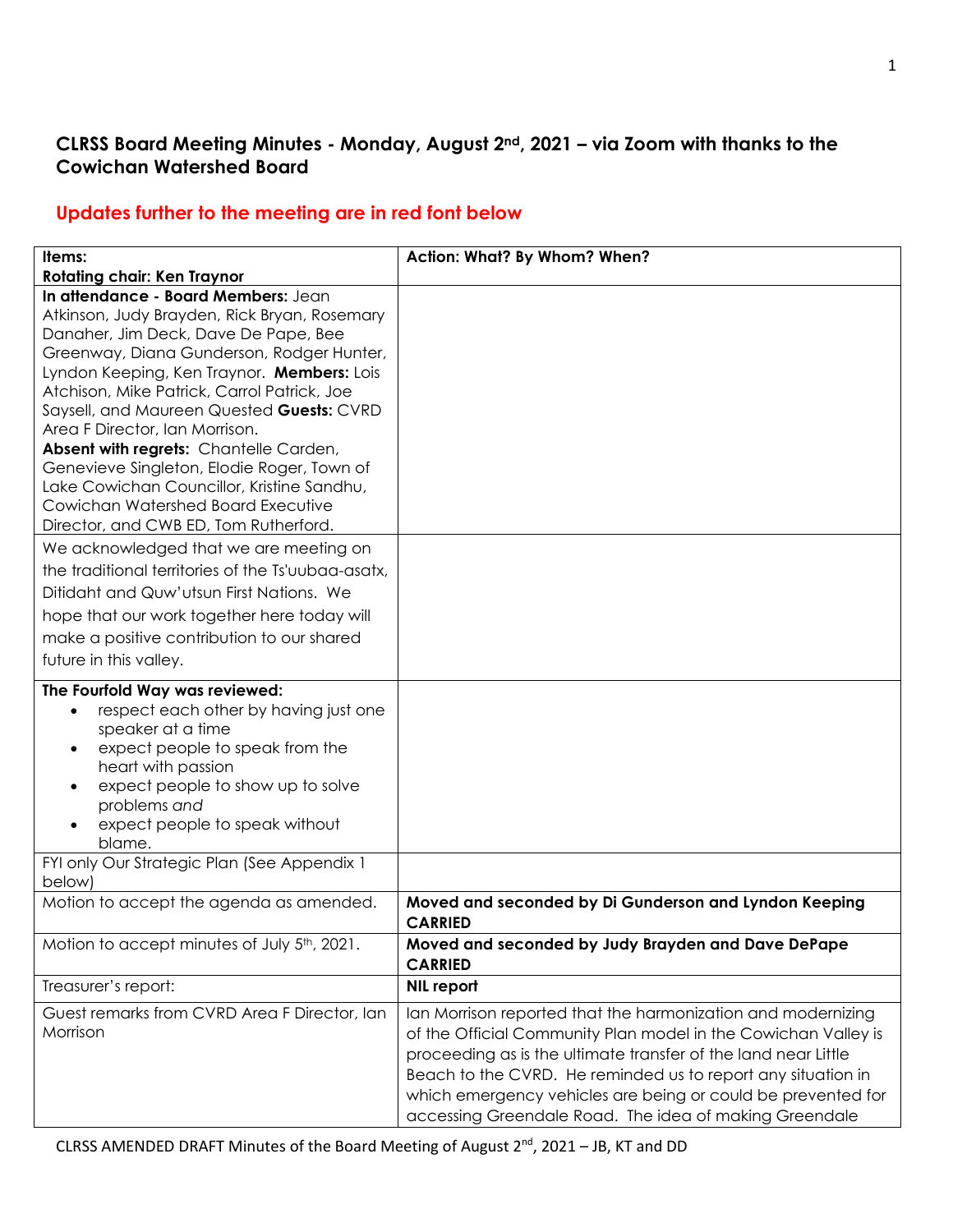## **CLRSS Board Meeting Minutes - Monday, August 2nd, 2021 – via Zoom with thanks to the Cowichan Watershed Board**

### **Updates further to the meeting are in red font below**

| Items:                                                                                                                                                                                                                                                                                                                                                                                                                                                                                                                           | Action: What? By Whom? When?                                                                                                                                                                                                                                                                                                                                                               |
|----------------------------------------------------------------------------------------------------------------------------------------------------------------------------------------------------------------------------------------------------------------------------------------------------------------------------------------------------------------------------------------------------------------------------------------------------------------------------------------------------------------------------------|--------------------------------------------------------------------------------------------------------------------------------------------------------------------------------------------------------------------------------------------------------------------------------------------------------------------------------------------------------------------------------------------|
| <b>Rotating chair: Ken Traynor</b><br>In attendance - Board Members: Jean<br>Atkinson, Judy Brayden, Rick Bryan, Rosemary<br>Danaher, Jim Deck, Dave De Pape, Bee<br>Greenway, Diana Gunderson, Rodger Hunter,<br>Lyndon Keeping, Ken Traynor. Members: Lois<br>Atchison, Mike Patrick, Carrol Patrick, Joe<br>Saysell, and Maureen Quested Guests: CVRD<br>Area F Director, Ian Morrison.<br>Absent with regrets: Chantelle Carden,<br>Genevieve Singleton, Elodie Roger, Town of<br>Lake Cowichan Councillor, Kristine Sandhu, |                                                                                                                                                                                                                                                                                                                                                                                            |
| Cowichan Watershed Board Executive<br>Director, and CWB ED, Tom Rutherford.<br>We acknowledged that we are meeting on<br>the traditional territories of the Ts'uubag-asatx,<br>Ditidaht and Quw'utsun First Nations. We<br>hope that our work together here today will<br>make a positive contribution to our shared<br>future in this valley.                                                                                                                                                                                   |                                                                                                                                                                                                                                                                                                                                                                                            |
| The Fourfold Way was reviewed:<br>respect each other by having just one<br>$\bullet$<br>speaker at a time<br>expect people to speak from the<br>$\bullet$<br>heart with passion<br>expect people to show up to solve<br>$\bullet$<br>problems and<br>expect people to speak without<br>blame.<br>FYI only Our Strategic Plan (See Appendix 1                                                                                                                                                                                     |                                                                                                                                                                                                                                                                                                                                                                                            |
| below)<br>Motion to accept the agenda as amended.                                                                                                                                                                                                                                                                                                                                                                                                                                                                                | Moved and seconded by Di Gunderson and Lyndon Keeping                                                                                                                                                                                                                                                                                                                                      |
| Motion to accept minutes of July 5 <sup>th</sup> , 2021.                                                                                                                                                                                                                                                                                                                                                                                                                                                                         | <b>CARRIED</b><br>Moved and seconded by Judy Brayden and Dave DePape<br><b>CARRIED</b>                                                                                                                                                                                                                                                                                                     |
| Treasurer's report:                                                                                                                                                                                                                                                                                                                                                                                                                                                                                                              | NIL report                                                                                                                                                                                                                                                                                                                                                                                 |
| Guest remarks from CVRD Area F Director, Ian<br>Morrison                                                                                                                                                                                                                                                                                                                                                                                                                                                                         | Ian Morrison reported that the harmonization and modernizing<br>of the Official Community Plan model in the Cowichan Valley is<br>proceeding as is the ultimate transfer of the land near Little<br>Beach to the CVRD. He reminded us to report any situation in<br>which emergency vehicles are being or could be prevented for<br>accessing Greendale Road. The idea of making Greendale |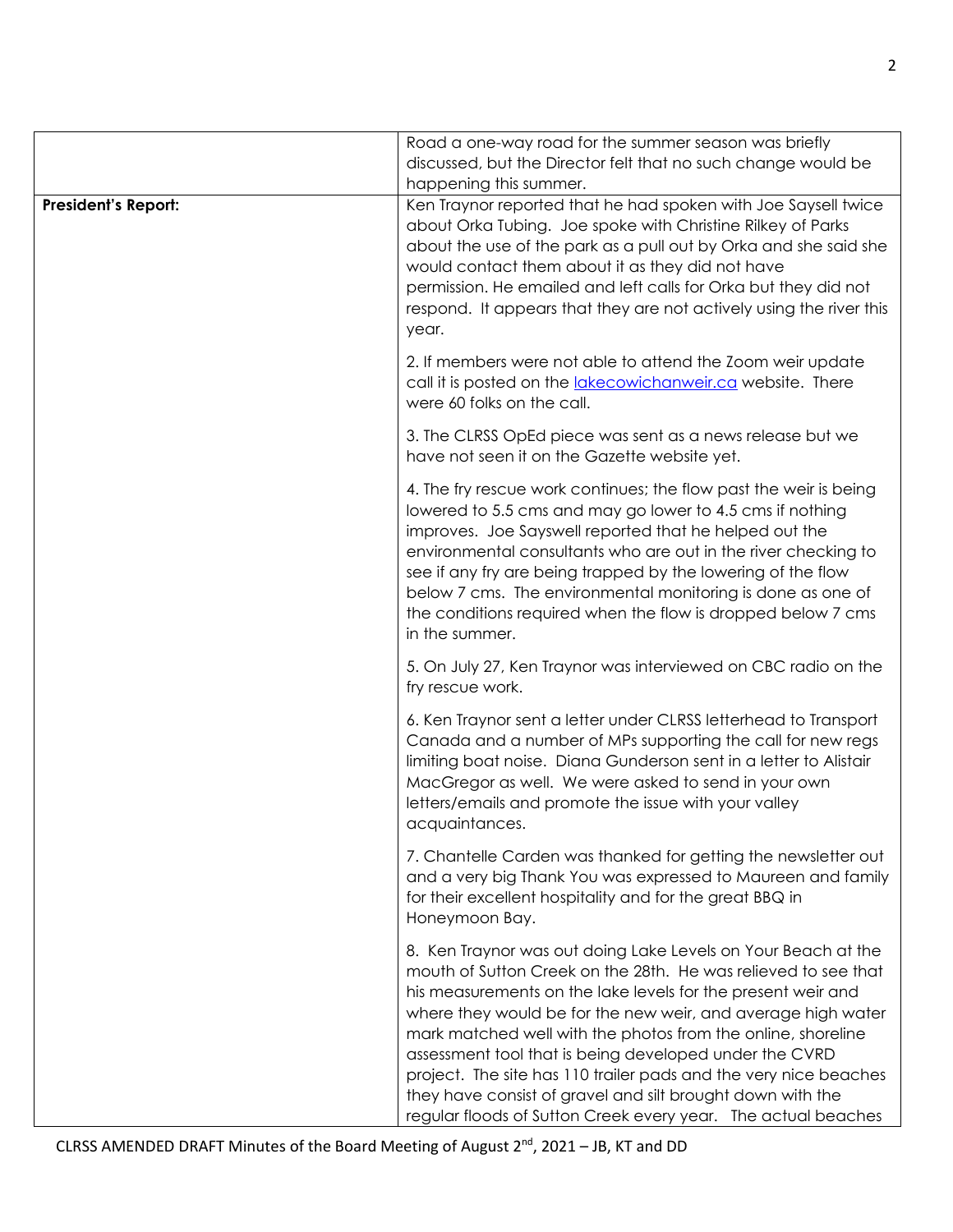|                            | Road a one-way road for the summer season was briefly<br>discussed, but the Director felt that no such change would be<br>happening this summer.                                                                                                                                                                                                                                                                                                                                                                                                                                             |
|----------------------------|----------------------------------------------------------------------------------------------------------------------------------------------------------------------------------------------------------------------------------------------------------------------------------------------------------------------------------------------------------------------------------------------------------------------------------------------------------------------------------------------------------------------------------------------------------------------------------------------|
| <b>President's Report:</b> | Ken Traynor reported that he had spoken with Joe Saysell twice<br>about Orka Tubing. Joe spoke with Christine Rilkey of Parks<br>about the use of the park as a pull out by Orka and she said she<br>would contact them about it as they did not have<br>permission. He emailed and left calls for Orka but they did not<br>respond. It appears that they are not actively using the river this<br>year.                                                                                                                                                                                     |
|                            | 2. If members were not able to attend the Zoom weir update<br>call it is posted on the <i>lakecowichanweir.ca</i> website. There<br>were 60 folks on the call.                                                                                                                                                                                                                                                                                                                                                                                                                               |
|                            | 3. The CLRSS OpEd piece was sent as a news release but we<br>have not seen it on the Gazette website yet.                                                                                                                                                                                                                                                                                                                                                                                                                                                                                    |
|                            | 4. The fry rescue work continues; the flow past the weir is being<br>lowered to 5.5 cms and may go lower to 4.5 cms if nothing<br>improves. Joe Sayswell reported that he helped out the<br>environmental consultants who are out in the river checking to<br>see if any fry are being trapped by the lowering of the flow<br>below 7 cms. The environmental monitoring is done as one of<br>the conditions required when the flow is dropped below 7 cms<br>in the summer.                                                                                                                  |
|                            | 5. On July 27, Ken Traynor was interviewed on CBC radio on the<br>fry rescue work.                                                                                                                                                                                                                                                                                                                                                                                                                                                                                                           |
|                            | 6. Ken Traynor sent a letter under CLRSS letterhead to Transport<br>Canada and a number of MPs supporting the call for new regs<br>limiting boat noise. Diana Gunderson sent in a letter to Alistair<br>MacGregor as well. We were asked to send in your own<br>letters/emails and promote the issue with your valley<br>acquaintances.                                                                                                                                                                                                                                                      |
|                            | 7. Chantelle Carden was thanked for getting the newsletter out<br>and a very big Thank You was expressed to Maureen and family<br>for their excellent hospitality and for the great BBQ in<br>Honeymoon Bay.                                                                                                                                                                                                                                                                                                                                                                                 |
|                            | 8. Ken Traynor was out doing Lake Levels on Your Beach at the<br>mouth of Sutton Creek on the 28th. He was relieved to see that<br>his measurements on the lake levels for the present weir and<br>where they would be for the new weir, and average high water<br>mark matched well with the photos from the online, shoreline<br>assessment tool that is being developed under the CVRD<br>project. The site has 110 trailer pads and the very nice beaches<br>they have consist of gravel and silt brought down with the<br>regular floods of Sutton Creek every year. The actual beaches |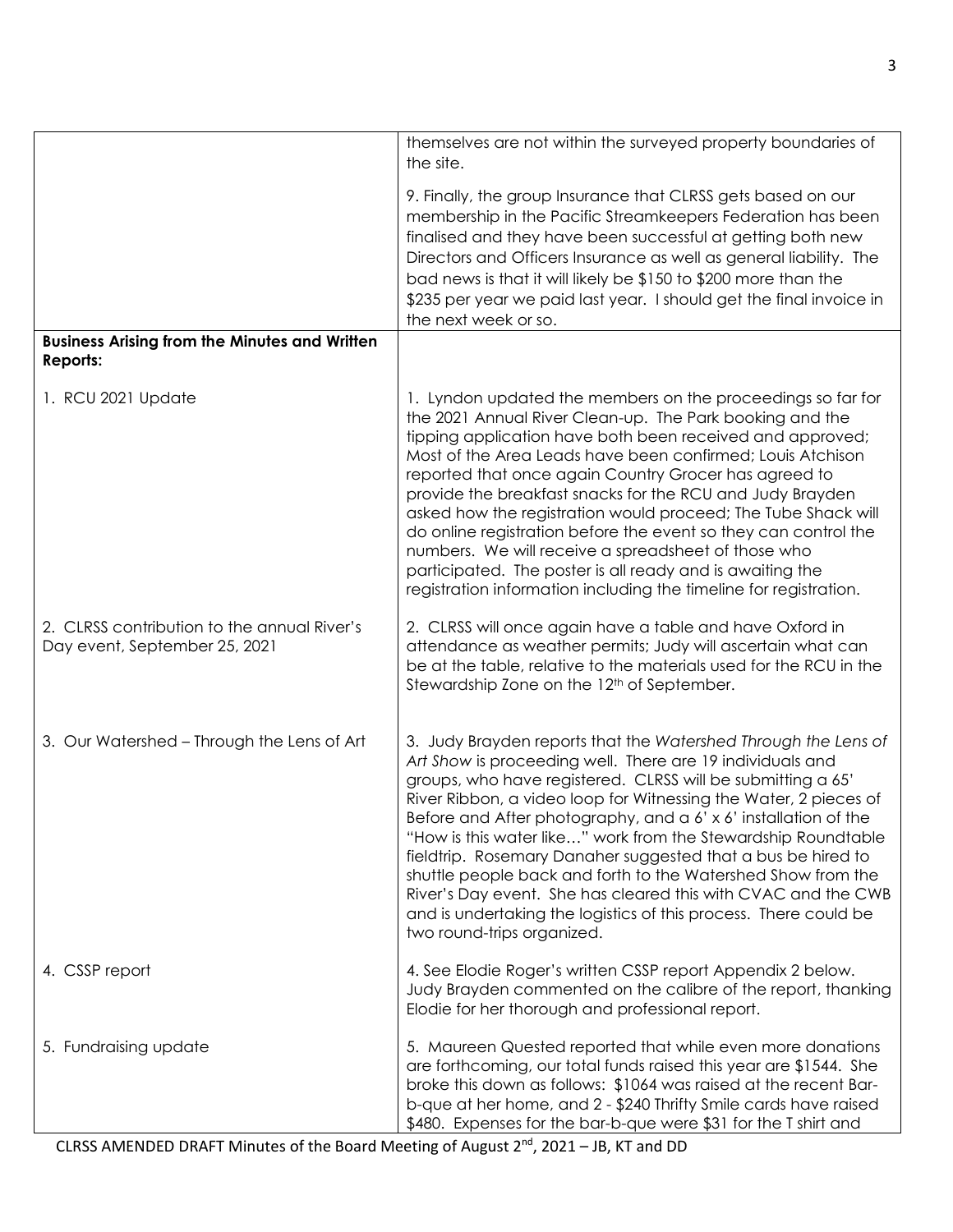|                                                                              | themselves are not within the surveyed property boundaries of<br>the site.                                                                                                                                                                                                                                                                                                                                                                                                                                                                                                                                                                                                                            |
|------------------------------------------------------------------------------|-------------------------------------------------------------------------------------------------------------------------------------------------------------------------------------------------------------------------------------------------------------------------------------------------------------------------------------------------------------------------------------------------------------------------------------------------------------------------------------------------------------------------------------------------------------------------------------------------------------------------------------------------------------------------------------------------------|
|                                                                              | 9. Finally, the group Insurance that CLRSS gets based on our<br>membership in the Pacific Streamkeepers Federation has been<br>finalised and they have been successful at getting both new<br>Directors and Officers Insurance as well as general liability. The<br>bad news is that it will likely be \$150 to \$200 more than the<br>\$235 per year we paid last year. I should get the final invoice in<br>the next week or so.                                                                                                                                                                                                                                                                    |
| <b>Business Arising from the Minutes and Written</b><br><b>Reports:</b>      |                                                                                                                                                                                                                                                                                                                                                                                                                                                                                                                                                                                                                                                                                                       |
| 1. RCU 2021 Update                                                           | 1. Lyndon updated the members on the proceedings so far for<br>the 2021 Annual River Clean-up. The Park booking and the<br>tipping application have both been received and approved;<br>Most of the Area Leads have been confirmed; Louis Atchison<br>reported that once again Country Grocer has agreed to<br>provide the breakfast snacks for the RCU and Judy Brayden<br>asked how the registration would proceed; The Tube Shack will<br>do online registration before the event so they can control the<br>numbers. We will receive a spreadsheet of those who<br>participated. The poster is all ready and is awaiting the<br>registration information including the timeline for registration. |
| 2. CLRSS contribution to the annual River's<br>Day event, September 25, 2021 | 2. CLRSS will once again have a table and have Oxford in<br>attendance as weather permits; Judy will ascertain what can<br>be at the table, relative to the materials used for the RCU in the<br>Stewardship Zone on the 12 <sup>th</sup> of September.                                                                                                                                                                                                                                                                                                                                                                                                                                               |
| 3. Our Watershed - Through the Lens of Art                                   | 3. Judy Brayden reports that the Watershed Through the Lens of<br>Art Show is proceeding well. There are 19 individuals and<br>groups, who have registered. CLRSS will be submitting a 65'<br>River Ribbon, a video loop for Witnessing the Water, 2 pieces of<br>Before and After photography, and a 6' x 6' installation of the<br>"How is this water like" work from the Stewardship Roundtable<br>fieldtrip. Rosemary Danaher suggested that a bus be hired to<br>shuttle people back and forth to the Watershed Show from the<br>River's Day event. She has cleared this with CVAC and the CWB<br>and is undertaking the logistics of this process. There could be<br>two round-trips organized. |
| 4. CSSP report                                                               | 4. See Elodie Roger's written CSSP report Appendix 2 below.<br>Judy Brayden commented on the calibre of the report, thanking<br>Elodie for her thorough and professional report.                                                                                                                                                                                                                                                                                                                                                                                                                                                                                                                      |
| 5. Fundraising update                                                        | 5. Maureen Quested reported that while even more donations<br>are forthcoming, our total funds raised this year are \$1544. She<br>broke this down as follows: \$1064 was raised at the recent Bar-<br>b-que at her home, and 2 - \$240 Thrifty Smile cards have raised<br>\$480. Expenses for the bar-b-que were \$31 for the T shirt and                                                                                                                                                                                                                                                                                                                                                            |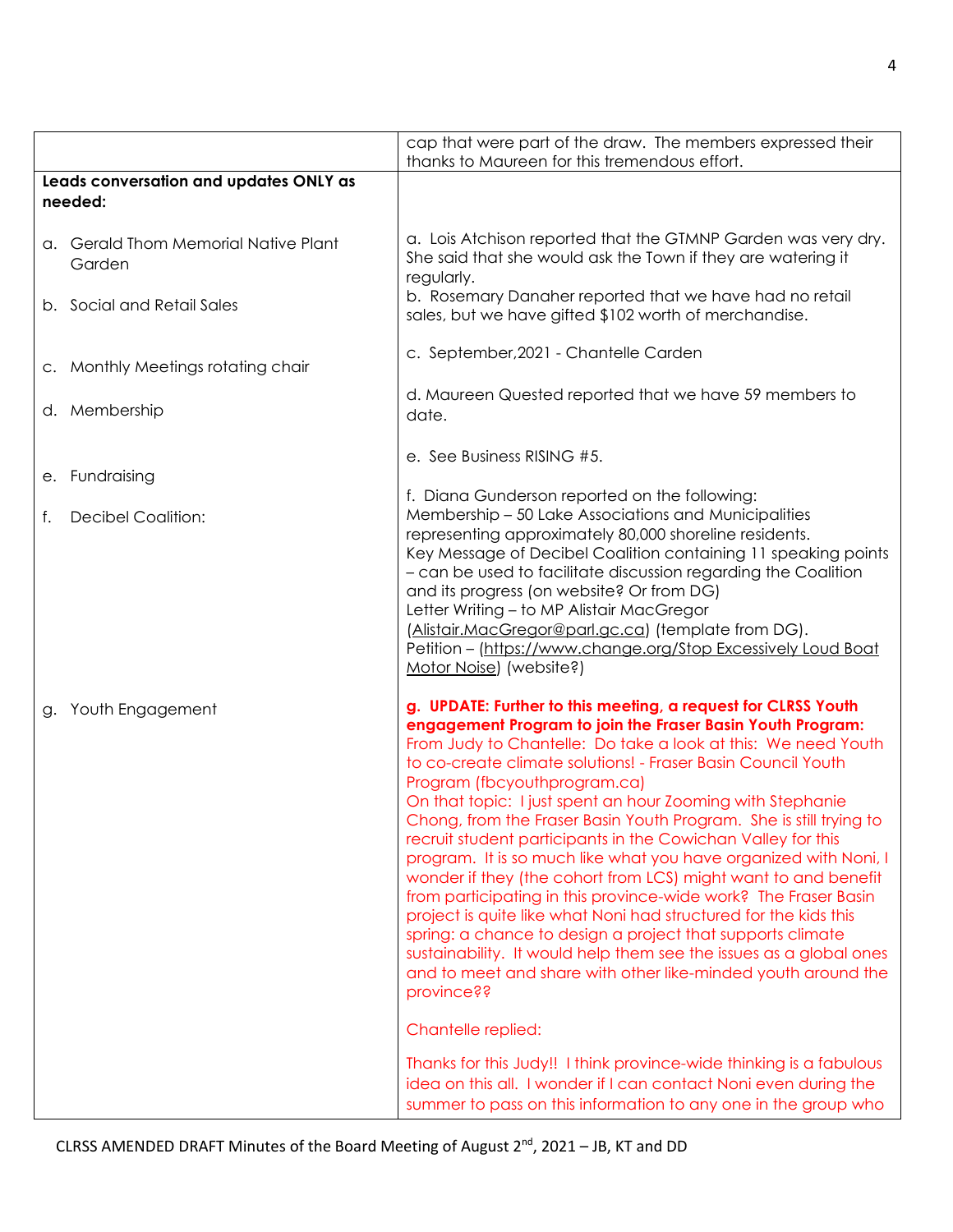|                                                   | cap that were part of the draw. The members expressed their<br>thanks to Maureen for this tremendous effort.                                                                                                                                                                                                                                                                                                                                                                                                                                                                                                                                                                                                                                                                                                                                                                                                                                                                                                                                                                                                                                                                                                                        |
|---------------------------------------------------|-------------------------------------------------------------------------------------------------------------------------------------------------------------------------------------------------------------------------------------------------------------------------------------------------------------------------------------------------------------------------------------------------------------------------------------------------------------------------------------------------------------------------------------------------------------------------------------------------------------------------------------------------------------------------------------------------------------------------------------------------------------------------------------------------------------------------------------------------------------------------------------------------------------------------------------------------------------------------------------------------------------------------------------------------------------------------------------------------------------------------------------------------------------------------------------------------------------------------------------|
| Leads conversation and updates ONLY as<br>needed: |                                                                                                                                                                                                                                                                                                                                                                                                                                                                                                                                                                                                                                                                                                                                                                                                                                                                                                                                                                                                                                                                                                                                                                                                                                     |
| a. Gerald Thom Memorial Native Plant<br>Garden    | a. Lois Atchison reported that the GTMNP Garden was very dry.<br>She said that she would ask the Town if they are watering it                                                                                                                                                                                                                                                                                                                                                                                                                                                                                                                                                                                                                                                                                                                                                                                                                                                                                                                                                                                                                                                                                                       |
| b. Social and Retail Sales                        | regularly.<br>b. Rosemary Danaher reported that we have had no retail<br>sales, but we have gifted \$102 worth of merchandise.                                                                                                                                                                                                                                                                                                                                                                                                                                                                                                                                                                                                                                                                                                                                                                                                                                                                                                                                                                                                                                                                                                      |
| c. Monthly Meetings rotating chair                | c. September, 2021 - Chantelle Carden                                                                                                                                                                                                                                                                                                                                                                                                                                                                                                                                                                                                                                                                                                                                                                                                                                                                                                                                                                                                                                                                                                                                                                                               |
| d. Membership                                     | d. Maureen Quested reported that we have 59 members to<br>date.                                                                                                                                                                                                                                                                                                                                                                                                                                                                                                                                                                                                                                                                                                                                                                                                                                                                                                                                                                                                                                                                                                                                                                     |
| e. Fundraising                                    | e. See Business RISING #5.                                                                                                                                                                                                                                                                                                                                                                                                                                                                                                                                                                                                                                                                                                                                                                                                                                                                                                                                                                                                                                                                                                                                                                                                          |
| <b>Decibel Coalition:</b><br>f.                   | f. Diana Gunderson reported on the following:<br>Membership - 50 Lake Associations and Municipalities<br>representing approximately 80,000 shoreline residents.<br>Key Message of Decibel Coalition containing 11 speaking points<br>- can be used to facilitate discussion regarding the Coalition<br>and its progress (on website? Or from DG)<br>Letter Writing - to MP Alistair MacGregor<br>(Alistair.MacGregor@parl.gc.ca) (template from DG).<br>Petition - (https://www.change.org/Stop Excessively Loud Boat<br>Motor Noise) (website?)                                                                                                                                                                                                                                                                                                                                                                                                                                                                                                                                                                                                                                                                                    |
| g. Youth Engagement                               | g. UPDATE: Further to this meeting, a request for CLRSS Youth<br>engagement Program to join the Fraser Basin Youth Program:<br>From Judy to Chantelle: Do take a look at this: We need Youth<br>to co-create climate solutions! - Fraser Basin Council Youth<br>Program (fbcyouthprogram.ca)<br>On that topic: I just spent an hour Zooming with Stephanie<br>Chong, from the Fraser Basin Youth Program. She is still trying to<br>recruit student participants in the Cowichan Valley for this<br>program. It is so much like what you have organized with Noni, I<br>wonder if they (the cohort from LCS) might want to and benefit<br>from participating in this province-wide work? The Fraser Basin<br>project is quite like what Noni had structured for the kids this<br>spring: a chance to design a project that supports climate<br>sustainability. It would help them see the issues as a global ones<br>and to meet and share with other like-minded youth around the<br>province??<br>Chantelle replied:<br>Thanks for this Judy!! I think province-wide thinking is a fabulous<br>idea on this all. I wonder if I can contact Noni even during the<br>summer to pass on this information to any one in the group who |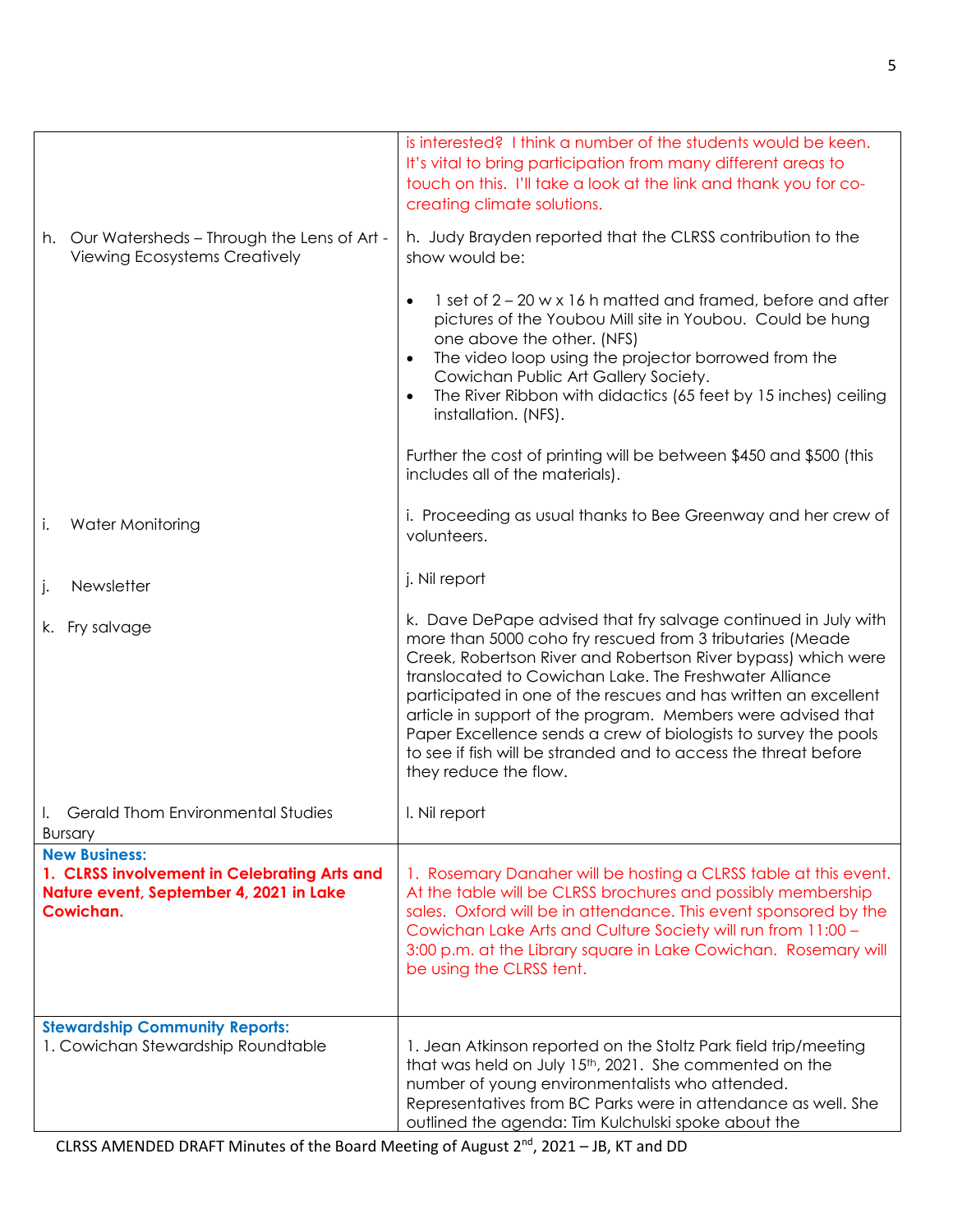|                                                                                                                              | is interested? I think a number of the students would be keen.<br>It's vital to bring participation from many different areas to<br>touch on this. I'll take a look at the link and thank you for co-<br>creating climate solutions.                                                                                                                                                                                                                                                                                                                     |
|------------------------------------------------------------------------------------------------------------------------------|----------------------------------------------------------------------------------------------------------------------------------------------------------------------------------------------------------------------------------------------------------------------------------------------------------------------------------------------------------------------------------------------------------------------------------------------------------------------------------------------------------------------------------------------------------|
| h. Our Watersheds - Through the Lens of Art -<br><b>Viewing Ecosystems Creatively</b>                                        | h. Judy Brayden reported that the CLRSS contribution to the<br>show would be:                                                                                                                                                                                                                                                                                                                                                                                                                                                                            |
|                                                                                                                              | 1 set of 2 – 20 w x 16 h matted and framed, before and after<br>$\bullet$<br>pictures of the Youbou Mill site in Youbou. Could be hung<br>one above the other. (NFS)<br>The video loop using the projector borrowed from the<br>$\bullet$<br>Cowichan Public Art Gallery Society.<br>The River Ribbon with didactics (65 feet by 15 inches) ceiling<br>$\bullet$<br>installation. (NFS).                                                                                                                                                                 |
|                                                                                                                              | Further the cost of printing will be between \$450 and \$500 (this<br>includes all of the materials).                                                                                                                                                                                                                                                                                                                                                                                                                                                    |
| Water Monitoring<br>İ.                                                                                                       | i. Proceeding as usual thanks to Bee Greenway and her crew of<br>volunteers.                                                                                                                                                                                                                                                                                                                                                                                                                                                                             |
| Newsletter<br>j.                                                                                                             | j. Nil report                                                                                                                                                                                                                                                                                                                                                                                                                                                                                                                                            |
| k. Fry salvage                                                                                                               | k. Dave DePape advised that fry salvage continued in July with<br>more than 5000 coho fry rescued from 3 tributaries (Meade<br>Creek, Robertson River and Robertson River bypass) which were<br>translocated to Cowichan Lake. The Freshwater Alliance<br>participated in one of the rescues and has written an excellent<br>article in support of the program. Members were advised that<br>Paper Excellence sends a crew of biologists to survey the pools<br>to see if fish will be stranded and to access the threat before<br>they reduce the flow. |
| <b>Gerald Thom Environmental Studies</b><br><b>Bursary</b>                                                                   | I. Nil report                                                                                                                                                                                                                                                                                                                                                                                                                                                                                                                                            |
| <b>New Business:</b><br>1. CLRSS involvement in Celebrating Arts and<br>Nature event, September 4, 2021 in Lake<br>Cowichan. | 1. Rosemary Danaher will be hosting a CLRSS table at this event.<br>At the table will be CLRSS brochures and possibly membership<br>sales. Oxford will be in attendance. This event sponsored by the<br>Cowichan Lake Arts and Culture Society will run from 11:00 -<br>3:00 p.m. at the Library square in Lake Cowichan. Rosemary will<br>be using the CLRSS tent.                                                                                                                                                                                      |
| <b>Stewardship Community Reports:</b><br>1. Cowichan Stewardship Roundtable                                                  | 1. Jean Atkinson reported on the Stoltz Park field trip/meeting<br>that was held on July 15th, 2021. She commented on the<br>number of young environmentalists who attended.<br>Representatives from BC Parks were in attendance as well. She<br>outlined the agenda: Tim Kulchulski spoke about the                                                                                                                                                                                                                                                     |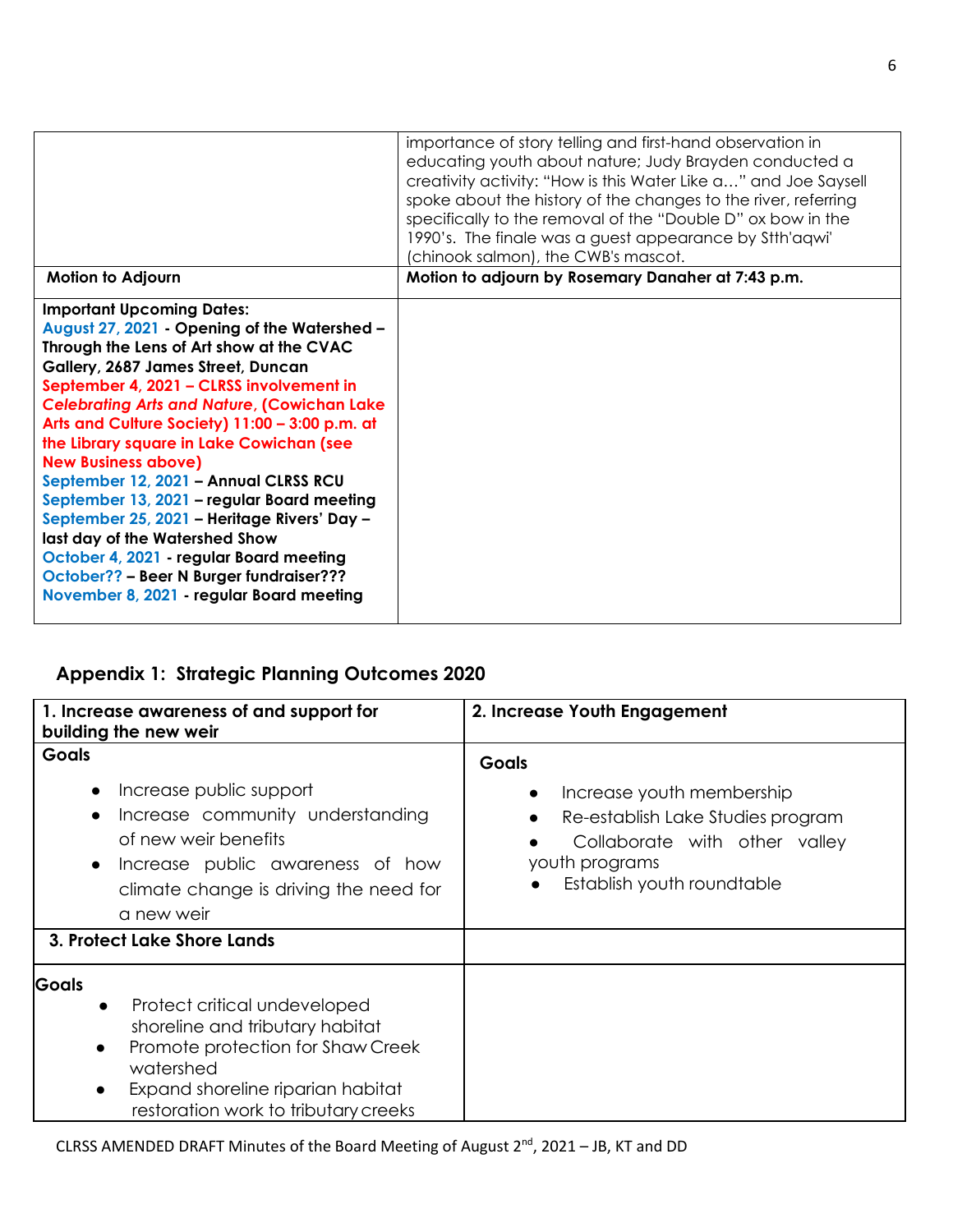|                                                                                                                                                                                                                                                                                                                                                                                                                                                                                                                                                                                                                                                                                                            | importance of story telling and first-hand observation in<br>educating youth about nature; Judy Brayden conducted a<br>creativity activity: "How is this Water Like a" and Joe Saysell<br>spoke about the history of the changes to the river, referring<br>specifically to the removal of the "Double D" ox bow in the<br>1990's. The finale was a guest appearance by Stih'agwi'<br>(chinook salmon), the CWB's mascot. |
|------------------------------------------------------------------------------------------------------------------------------------------------------------------------------------------------------------------------------------------------------------------------------------------------------------------------------------------------------------------------------------------------------------------------------------------------------------------------------------------------------------------------------------------------------------------------------------------------------------------------------------------------------------------------------------------------------------|---------------------------------------------------------------------------------------------------------------------------------------------------------------------------------------------------------------------------------------------------------------------------------------------------------------------------------------------------------------------------------------------------------------------------|
| <b>Motion to Adjourn</b>                                                                                                                                                                                                                                                                                                                                                                                                                                                                                                                                                                                                                                                                                   | Motion to adjourn by Rosemary Danaher at 7:43 p.m.                                                                                                                                                                                                                                                                                                                                                                        |
| <b>Important Upcoming Dates:</b><br>August 27, 2021 - Opening of the Watershed -<br>Through the Lens of Art show at the CVAC<br>Gallery, 2687 James Street, Duncan<br>September 4, 2021 - CLRSS involvement in<br><b>Celebrating Arts and Nature, (Cowichan Lake</b><br>Arts and Culture Society) 11:00 - 3:00 p.m. at<br>the Library square in Lake Cowichan (see<br><b>New Business above)</b><br>September 12, 2021 - Annual CLRSS RCU<br>September 13, 2021 - regular Board meeting<br>September 25, 2021 - Heritage Rivers' Day -<br>last day of the Watershed Show<br>October 4, 2021 - regular Board meeting<br>October?? - Beer N Burger fundraiser???<br>November 8, 2021 - regular Board meeting |                                                                                                                                                                                                                                                                                                                                                                                                                           |

# **Appendix 1: Strategic Planning Outcomes 2020**

| 1. Increase awareness of and support for<br>building the new weir                                                                                                                                                                                     | 2. Increase Youth Engagement                                                                                                                                                 |
|-------------------------------------------------------------------------------------------------------------------------------------------------------------------------------------------------------------------------------------------------------|------------------------------------------------------------------------------------------------------------------------------------------------------------------------------|
| <b>Goals</b><br>Increase public support<br>Increase community understanding<br>of new weir benefits<br>Increase public awareness of how<br>climate change is driving the need for<br>a new weir                                                       | <b>Goals</b><br>Increase youth membership<br>$\bullet$<br>Re-establish Lake Studies program<br>Collaborate with other valley<br>youth programs<br>Establish youth roundtable |
| 3. Protect Lake Shore Lands                                                                                                                                                                                                                           |                                                                                                                                                                              |
| <b>Goals</b><br>Protect critical undeveloped<br>$\bullet$<br>shoreline and tributary habitat<br>Promote protection for Shaw Creek<br>$\bullet$<br>watershed<br>Expand shoreline riparian habitat<br>$\bullet$<br>restoration work to tributary creeks |                                                                                                                                                                              |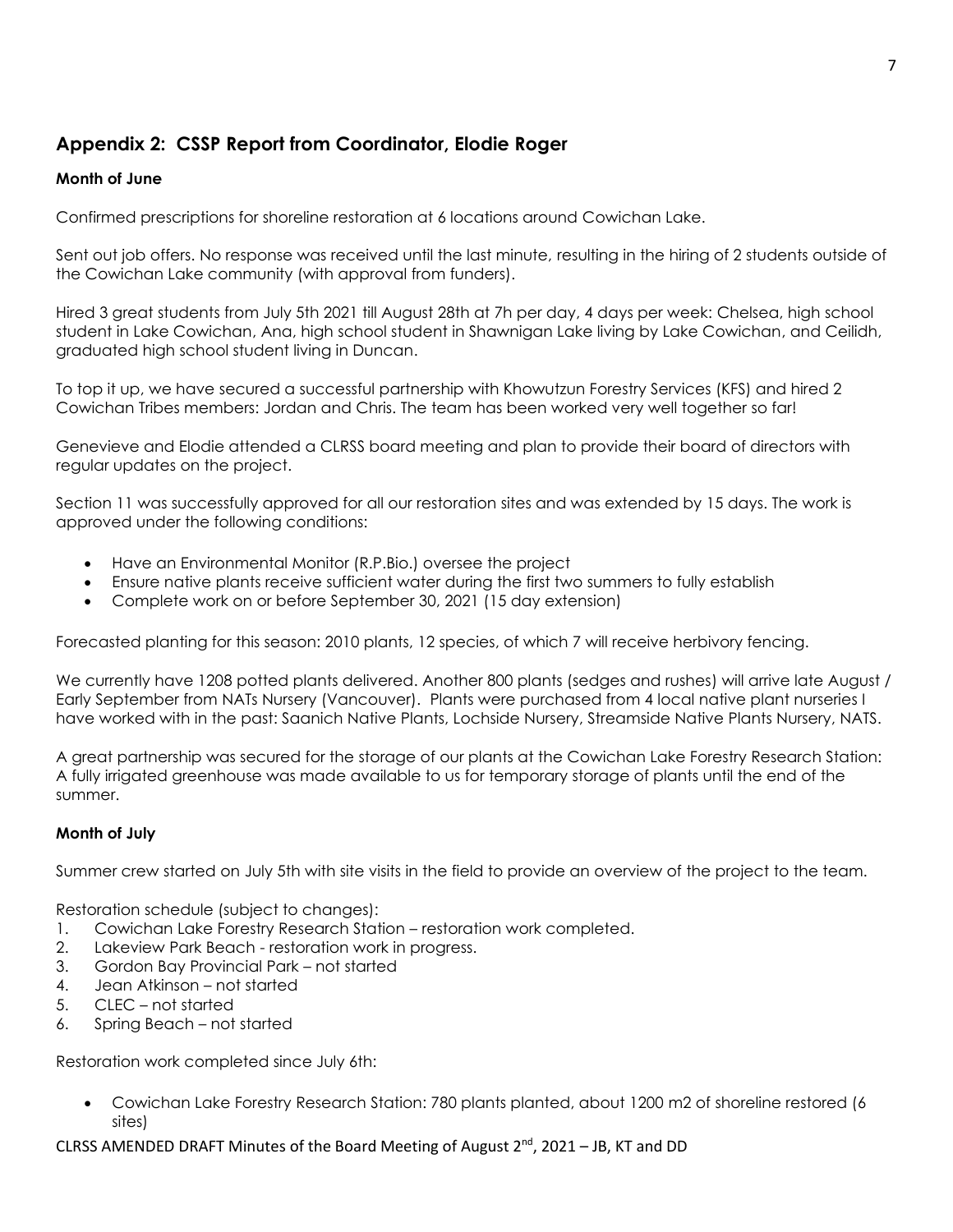## **Appendix 2: CSSP Report from Coordinator, Elodie Roger**

#### **Month of June**

Confirmed prescriptions for shoreline restoration at 6 locations around Cowichan Lake.

Sent out job offers. No response was received until the last minute, resulting in the hiring of 2 students outside of the Cowichan Lake community (with approval from funders).

Hired 3 great students from July 5th 2021 till August 28th at 7h per day, 4 days per week: Chelsea, high school student in Lake Cowichan, Ana, high school student in Shawnigan Lake living by Lake Cowichan, and Ceilidh, graduated high school student living in Duncan.

To top it up, we have secured a successful partnership with Khowutzun Forestry Services (KFS) and hired 2 Cowichan Tribes members: Jordan and Chris. The team has been worked very well together so far!

Genevieve and Elodie attended a CLRSS board meeting and plan to provide their board of directors with regular updates on the project.

Section 11 was successfully approved for all our restoration sites and was extended by 15 days. The work is approved under the following conditions:

- Have an Environmental Monitor (R.P.Bio.) oversee the project
- Ensure native plants receive sufficient water during the first two summers to fully establish
- Complete work on or before September 30, 2021 (15 day extension)

Forecasted planting for this season: 2010 plants, 12 species, of which 7 will receive herbivory fencing.

We currently have 1208 potted plants delivered. Another 800 plants (sedges and rushes) will arrive late August / Early September from NATs Nursery (Vancouver). Plants were purchased from 4 local native plant nurseries I have worked with in the past: Saanich Native Plants, Lochside Nursery, Streamside Native Plants Nursery, NATS.

A great partnership was secured for the storage of our plants at the Cowichan Lake Forestry Research Station: A fully irrigated greenhouse was made available to us for temporary storage of plants until the end of the summer.

#### **Month of July**

Summer crew started on July 5th with site visits in the field to provide an overview of the project to the team.

Restoration schedule (subject to changes):

- 1. Cowichan Lake Forestry Research Station restoration work completed.
- 2. Lakeview Park Beach restoration work in progress.
- 3. Gordon Bay Provincial Park not started
- 4. Jean Atkinson not started
- 5. CLEC not started
- 6. Spring Beach not started

Restoration work completed since July 6th:

• Cowichan Lake Forestry Research Station: 780 plants planted, about 1200 m2 of shoreline restored (6 sites)

CLRSS AMENDED DRAFT Minutes of the Board Meeting of August  $2^{nd}$ , 2021 – JB, KT and DD